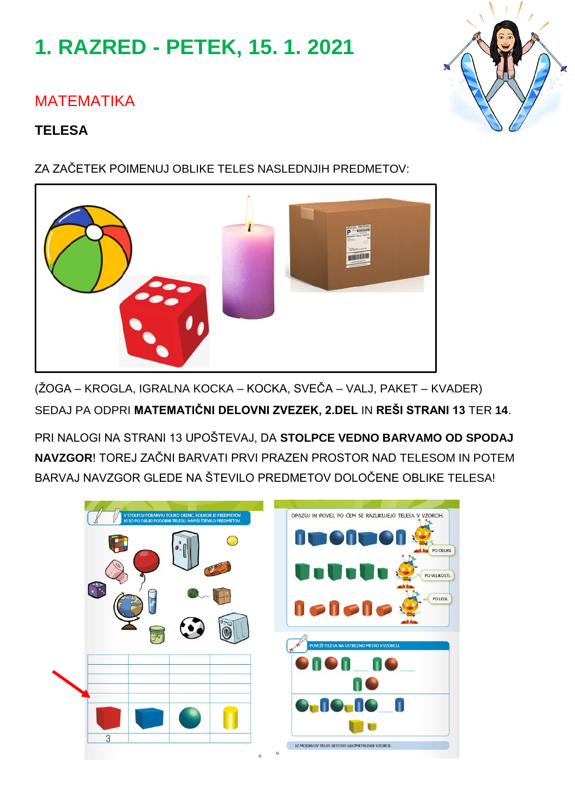# **1. RAZRED - PETEK, 15. 1. 2021**

# MATEMATIKA

#### **TELESA**

ZA ZAČETEK POIMENUJ OBLIKE TELES NASLEDNJIH PREDMETOV:

(ŽOGA – KROGLA, IGRALNA KOCKA – KOCKA, SVEČA – VALJ, PAKET – KVADER) SEDAJ PA ODPRI **MATEMATIČNI DELOVNI ZVEZEK, 2.DEL** IN **REŠI STRANI 13** TER **14**.

PRI NALOGI NA STRANI 13 UPOŠTEVAJ, DA **STOLPCE VEDNO BARVAMO OD SPODAJ NAVZGOR**! TOREJ ZAČNI BARVATI PRVI PRAZEN PROSTOR NAD TELESOM IN POTEM BARVAJ NAVZGOR GLEDE NA ŠTEVILO PREDMETOV DOLOČENE OBLIKE TELESA!





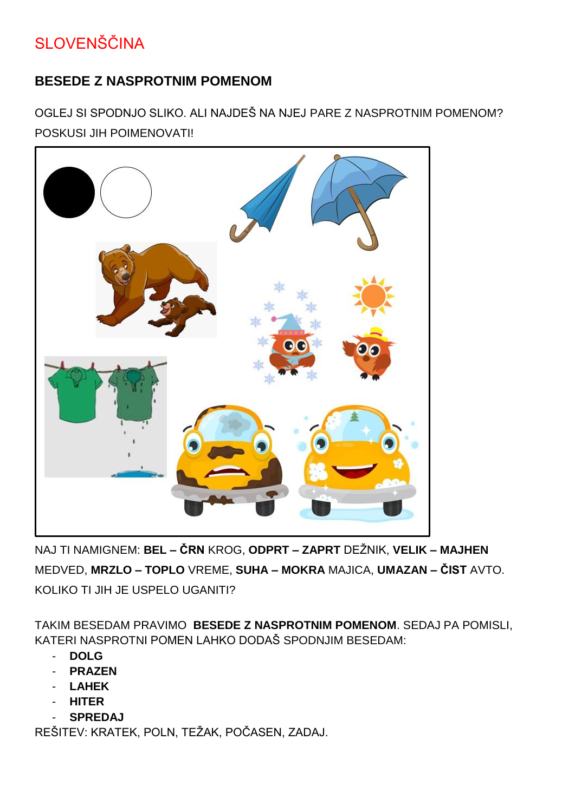# SLOVENŠČINA

#### **BESEDE Z NASPROTNIM POMENOM**

OGLEJ SI SPODNJO SLIKO. ALI NAJDEŠ NA NJEJ PARE Z NASPROTNIM POMENOM? POSKUSI JIH POIMENOVATI!



NAJ TI NAMIGNEM: **BEL – ČRN** KROG, **ODPRT – ZAPRT** DEŽNIK, **VELIK – MAJHEN** MEDVED, **MRZLO – TOPLO** VREME, **SUHA – MOKRA** MAJICA, **UMAZAN – ČIST** AVTO. KOLIKO TI JIH JE USPELO UGANITI?

TAKIM BESEDAM PRAVIMO **BESEDE Z NASPROTNIM POMENOM**. SEDAJ PA POMISLI, KATERI NASPROTNI POMEN LAHKO DODAŠ SPODNJIM BESEDAM:

- **DOLG**
- **PRAZEN**
- **LAHEK**
- **HITER**
- **SPREDAJ**

REŠITEV: KRATEK, POLN, TEŽAK, POČASEN, ZADAJ.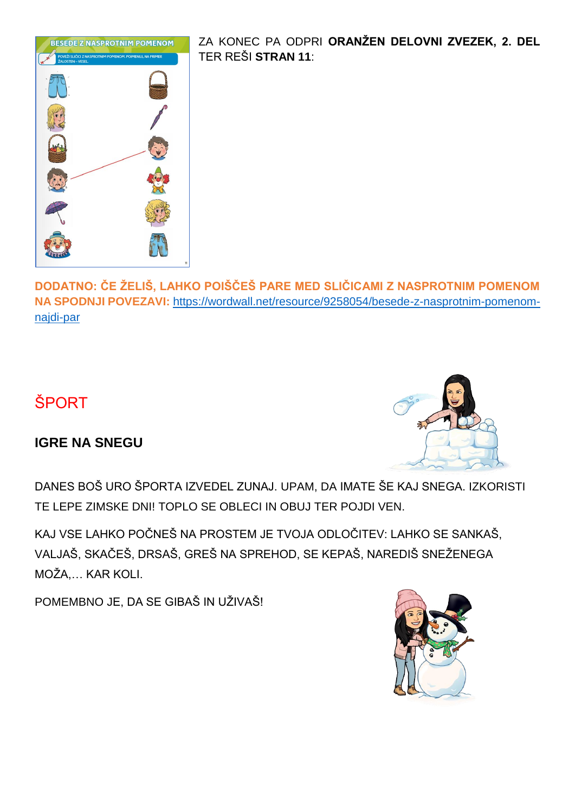

ZA KONEC PA ODPRI **ORANŽEN DELOVNI ZVEZEK, 2. DEL** TER REŠI **STRAN 11**:

**DODATNO: ČE ŽELIŠ, LAHKO POIŠČEŠ PARE MED SLIČICAMI Z NASPROTNIM POMENOM NA SPODNJI POVEZAVI:** [https://wordwall.net/resource/9258054/besede-z-nasprotnim-pomenom](https://wordwall.net/resource/9258054/besede-z-nasprotnim-pomenom-najdi-par)[najdi-par](https://wordwall.net/resource/9258054/besede-z-nasprotnim-pomenom-najdi-par)

# ŠPORT

#### **IGRE NA SNEGU**



DANES BOŠ URO ŠPORTA IZVEDEL ZUNAJ. UPAM, DA IMATE ŠE KAJ SNEGA. IZKORISTI TE LEPE ZIMSKE DNI! TOPLO SE OBLECI IN OBUJ TER POJDI VEN.

KAJ VSE LAHKO POČNEŠ NA PROSTEM JE TVOJA ODLOČITEV: LAHKO SE SANKAŠ, VALJAŠ, SKAČEŠ, DRSAŠ, GREŠ NA SPREHOD, SE KEPAŠ, NAREDIŠ SNEŽENEGA MOŽA,… KAR KOLI.

POMEMBNO JE, DA SE GIBAŠ IN UŽIVAŠ!